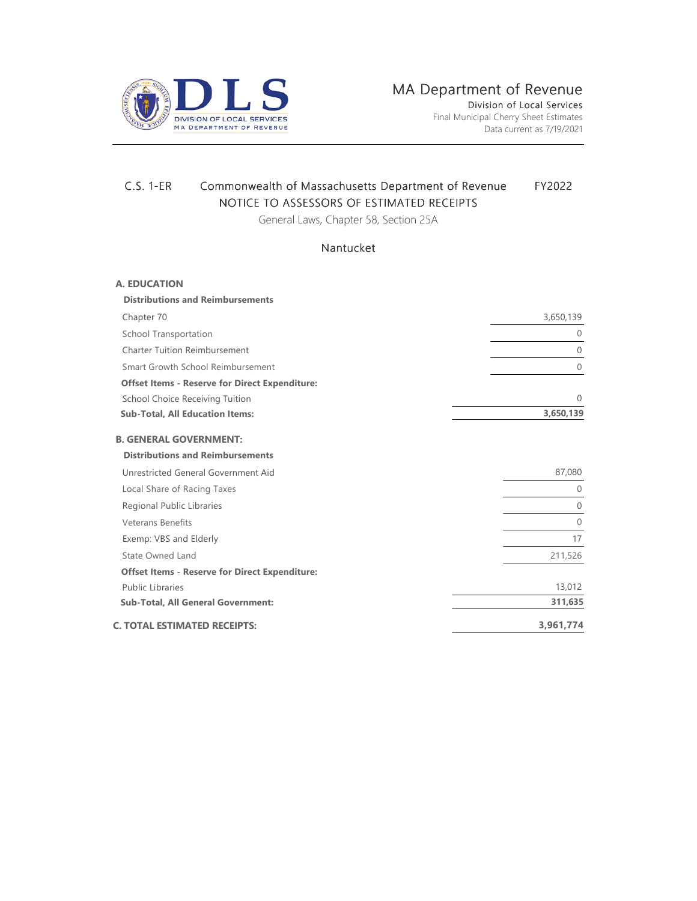

## C.S. 1-ER Commonwealth of Massachusetts Department of Revenue FY2022 NOTICE TO ASSESSORS OF ESTIMATED RECEIPTS

General Laws, Chapter 58, Section 25A

## Nantucket

| <b>A. EDUCATION</b>                                   |                |
|-------------------------------------------------------|----------------|
| <b>Distributions and Reimbursements</b>               |                |
| Chapter 70                                            | 3,650,139      |
| <b>School Transportation</b>                          | $\mathbf{0}$   |
| <b>Charter Tuition Reimbursement</b>                  | $\mathbf{0}$   |
| Smart Growth School Reimbursement                     | $\overline{0}$ |
| <b>Offset Items - Reserve for Direct Expenditure:</b> |                |
| <b>School Choice Receiving Tuition</b>                | $\Omega$       |
| <b>Sub-Total, All Education Items:</b>                | 3,650,139      |
| <b>B. GENERAL GOVERNMENT:</b>                         |                |
| <b>Distributions and Reimbursements</b>               |                |
| Unrestricted General Government Aid                   | 87,080         |
| Local Share of Racing Taxes                           | 0              |
| Regional Public Libraries                             | $\overline{0}$ |
| <b>Veterans Benefits</b>                              | $\overline{0}$ |
| Exemp: VBS and Elderly                                | 17             |
| State Owned Land                                      | 211,526        |
| <b>Offset Items - Reserve for Direct Expenditure:</b> |                |
| <b>Public Libraries</b>                               | 13,012         |
| <b>Sub-Total, All General Government:</b>             | 311,635        |
| <b>C. TOTAL ESTIMATED RECEIPTS:</b>                   | 3,961,774      |
|                                                       |                |